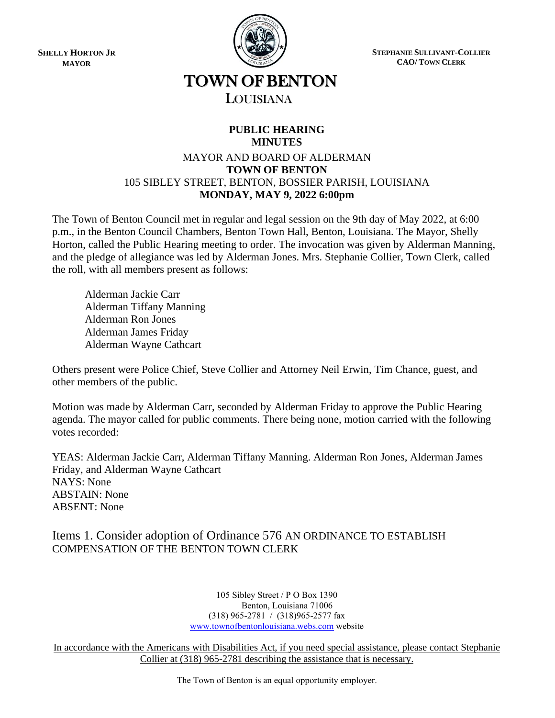**SHELLY HORTON JR MAYOR**



**STEPHANIE SULLIVANT-COLLIER CAO/ TOWN CLERK**

# TOWN OF BENTON

## LOUISIANA

### **PUBLIC HEARING MINUTES**

#### MAYOR AND BOARD OF ALDERMAN **TOWN OF BENTON** 105 SIBLEY STREET, BENTON, BOSSIER PARISH, LOUISIANA **MONDAY, MAY 9, 2022 6:00pm**

The Town of Benton Council met in regular and legal session on the 9th day of May 2022, at 6:00 p.m., in the Benton Council Chambers, Benton Town Hall, Benton, Louisiana. The Mayor, Shelly Horton, called the Public Hearing meeting to order. The invocation was given by Alderman Manning, and the pledge of allegiance was led by Alderman Jones. Mrs. Stephanie Collier, Town Clerk, called the roll, with all members present as follows:

Alderman Jackie Carr Alderman Tiffany Manning Alderman Ron Jones Alderman James Friday Alderman Wayne Cathcart

Others present were Police Chief, Steve Collier and Attorney Neil Erwin, Tim Chance, guest, and other members of the public.

Motion was made by Alderman Carr, seconded by Alderman Friday to approve the Public Hearing agenda. The mayor called for public comments. There being none, motion carried with the following votes recorded:

YEAS: Alderman Jackie Carr, Alderman Tiffany Manning. Alderman Ron Jones, Alderman James Friday, and Alderman Wayne Cathcart NAYS: None ABSTAIN: None ABSENT: None

## Items 1. Consider adoption of Ordinance 576 AN ORDINANCE TO ESTABLISH COMPENSATION OF THE BENTON TOWN CLERK

105 Sibley Street / P O Box 1390 Benton, Louisiana 71006 (318) 965-2781 / (318)965-2577 fax [www.townofbentonlouisiana.webs.com](http://www.townofbentonlouisiana.webs.com/) website

In accordance with the Americans with Disabilities Act, if you need special assistance, please contact Stephanie Collier at (318) 965-2781 describing the assistance that is necessary.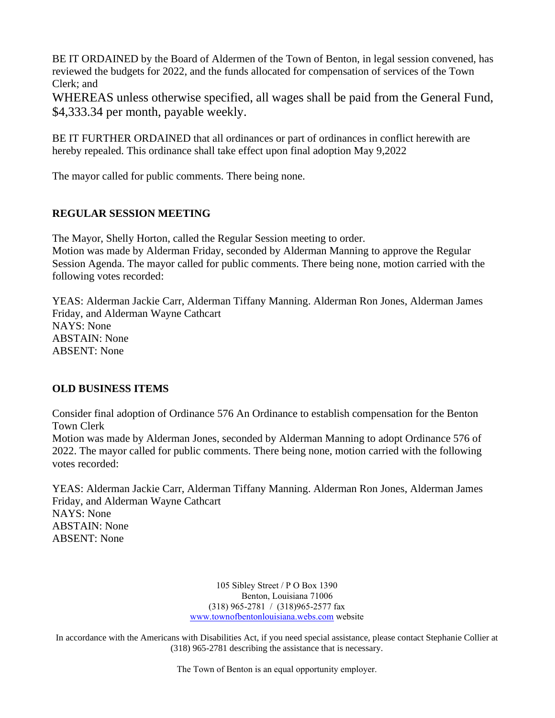BE IT ORDAINED by the Board of Aldermen of the Town of Benton, in legal session convened, has reviewed the budgets for 2022, and the funds allocated for compensation of services of the Town Clerk; and

WHEREAS unless otherwise specified, all wages shall be paid from the General Fund, \$4,333.34 per month, payable weekly.

BE IT FURTHER ORDAINED that all ordinances or part of ordinances in conflict herewith are hereby repealed. This ordinance shall take effect upon final adoption May 9,2022

The mayor called for public comments. There being none.

#### **REGULAR SESSION MEETING**

The Mayor, Shelly Horton, called the Regular Session meeting to order.

Motion was made by Alderman Friday, seconded by Alderman Manning to approve the Regular Session Agenda. The mayor called for public comments. There being none, motion carried with the following votes recorded:

YEAS: Alderman Jackie Carr, Alderman Tiffany Manning. Alderman Ron Jones, Alderman James Friday, and Alderman Wayne Cathcart NAYS: None ABSTAIN: None ABSENT: None

### **OLD BUSINESS ITEMS**

Consider final adoption of Ordinance 576 An Ordinance to establish compensation for the Benton Town Clerk

Motion was made by Alderman Jones, seconded by Alderman Manning to adopt Ordinance 576 of 2022. The mayor called for public comments. There being none, motion carried with the following votes recorded:

YEAS: Alderman Jackie Carr, Alderman Tiffany Manning. Alderman Ron Jones, Alderman James Friday, and Alderman Wayne Cathcart NAYS: None ABSTAIN: None ABSENT: None

> 105 Sibley Street / P O Box 1390 Benton, Louisiana 71006 (318) 965-2781 / (318)965-2577 fax [www.townofbentonlouisiana.webs.com](http://www.townofbentonlouisiana.webs.com/) website

In accordance with the Americans with Disabilities Act, if you need special assistance, please contact Stephanie Collier at (318) 965-2781 describing the assistance that is necessary.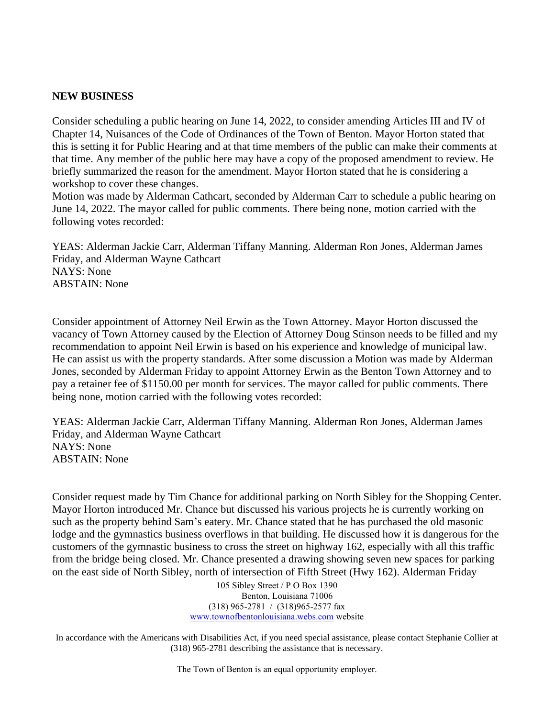#### **NEW BUSINESS**

Consider scheduling a public hearing on June 14, 2022, to consider amending Articles III and IV of Chapter 14, Nuisances of the Code of Ordinances of the Town of Benton. Mayor Horton stated that this is setting it for Public Hearing and at that time members of the public can make their comments at that time. Any member of the public here may have a copy of the proposed amendment to review. He briefly summarized the reason for the amendment. Mayor Horton stated that he is considering a workshop to cover these changes.

Motion was made by Alderman Cathcart, seconded by Alderman Carr to schedule a public hearing on June 14, 2022. The mayor called for public comments. There being none, motion carried with the following votes recorded:

YEAS: Alderman Jackie Carr, Alderman Tiffany Manning. Alderman Ron Jones, Alderman James Friday, and Alderman Wayne Cathcart NAYS: None ABSTAIN: None

Consider appointment of Attorney Neil Erwin as the Town Attorney. Mayor Horton discussed the vacancy of Town Attorney caused by the Election of Attorney Doug Stinson needs to be filled and my recommendation to appoint Neil Erwin is based on his experience and knowledge of municipal law. He can assist us with the property standards. After some discussion a Motion was made by Alderman Jones, seconded by Alderman Friday to appoint Attorney Erwin as the Benton Town Attorney and to pay a retainer fee of \$1150.00 per month for services. The mayor called for public comments. There being none, motion carried with the following votes recorded:

YEAS: Alderman Jackie Carr, Alderman Tiffany Manning. Alderman Ron Jones, Alderman James Friday, and Alderman Wayne Cathcart NAYS: None ABSTAIN: None

Consider request made by Tim Chance for additional parking on North Sibley for the Shopping Center. Mayor Horton introduced Mr. Chance but discussed his various projects he is currently working on such as the property behind Sam's eatery. Mr. Chance stated that he has purchased the old masonic lodge and the gymnastics business overflows in that building. He discussed how it is dangerous for the customers of the gymnastic business to cross the street on highway 162, especially with all this traffic from the bridge being closed. Mr. Chance presented a drawing showing seven new spaces for parking on the east side of North Sibley, north of intersection of Fifth Street (Hwy 162). Alderman Friday

> 105 Sibley Street / P O Box 1390 Benton, Louisiana 71006 (318) 965-2781 / (318)965-2577 fax [www.townofbentonlouisiana.webs.com](http://www.townofbentonlouisiana.webs.com/) website

In accordance with the Americans with Disabilities Act, if you need special assistance, please contact Stephanie Collier at (318) 965-2781 describing the assistance that is necessary.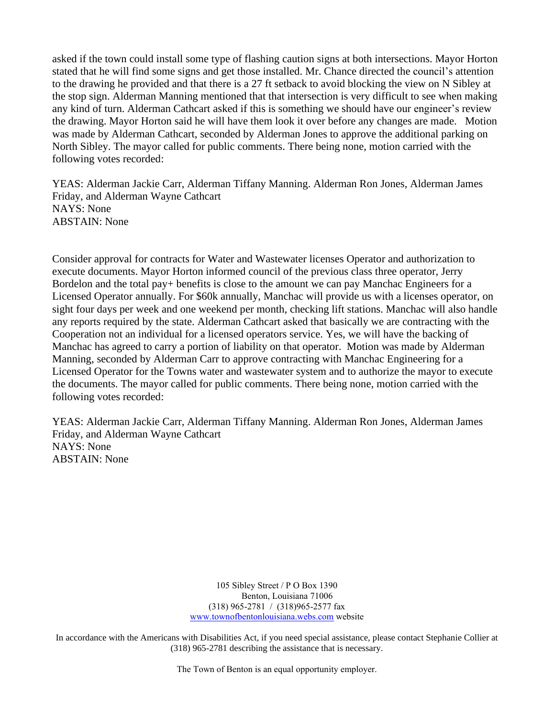asked if the town could install some type of flashing caution signs at both intersections. Mayor Horton stated that he will find some signs and get those installed. Mr. Chance directed the council's attention to the drawing he provided and that there is a 27 ft setback to avoid blocking the view on N Sibley at the stop sign. Alderman Manning mentioned that that intersection is very difficult to see when making any kind of turn. Alderman Cathcart asked if this is something we should have our engineer's review the drawing. Mayor Horton said he will have them look it over before any changes are made. Motion was made by Alderman Cathcart, seconded by Alderman Jones to approve the additional parking on North Sibley. The mayor called for public comments. There being none, motion carried with the following votes recorded:

YEAS: Alderman Jackie Carr, Alderman Tiffany Manning. Alderman Ron Jones, Alderman James Friday, and Alderman Wayne Cathcart NAYS: None ABSTAIN: None

Consider approval for contracts for Water and Wastewater licenses Operator and authorization to execute documents. Mayor Horton informed council of the previous class three operator, Jerry Bordelon and the total pay+ benefits is close to the amount we can pay Manchac Engineers for a Licensed Operator annually. For \$60k annually, Manchac will provide us with a licenses operator, on sight four days per week and one weekend per month, checking lift stations. Manchac will also handle any reports required by the state. Alderman Cathcart asked that basically we are contracting with the Cooperation not an individual for a licensed operators service. Yes, we will have the backing of Manchac has agreed to carry a portion of liability on that operator. Motion was made by Alderman Manning, seconded by Alderman Carr to approve contracting with Manchac Engineering for a Licensed Operator for the Towns water and wastewater system and to authorize the mayor to execute the documents. The mayor called for public comments. There being none, motion carried with the following votes recorded:

YEAS: Alderman Jackie Carr, Alderman Tiffany Manning. Alderman Ron Jones, Alderman James Friday, and Alderman Wayne Cathcart NAYS: None ABSTAIN: None

> 105 Sibley Street / P O Box 1390 Benton, Louisiana 71006 (318) 965-2781 / (318)965-2577 fax [www.townofbentonlouisiana.webs.com](http://www.townofbentonlouisiana.webs.com/) website

In accordance with the Americans with Disabilities Act, if you need special assistance, please contact Stephanie Collier at (318) 965-2781 describing the assistance that is necessary.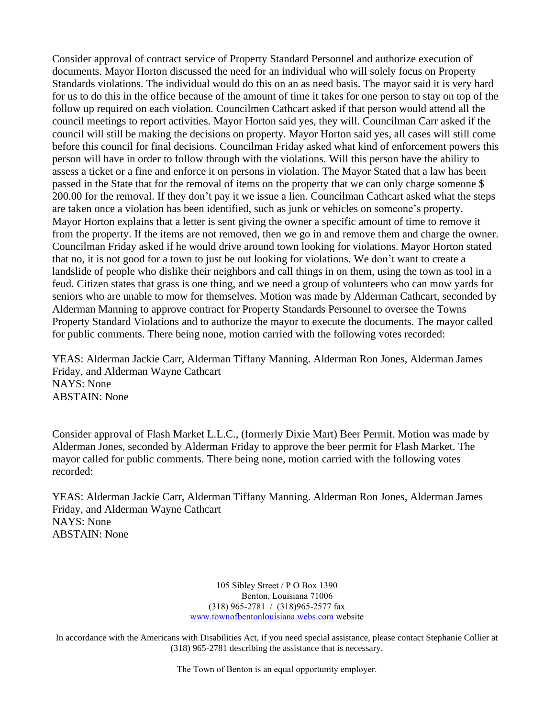Consider approval of contract service of Property Standard Personnel and authorize execution of documents. Mayor Horton discussed the need for an individual who will solely focus on Property Standards violations. The individual would do this on an as need basis. The mayor said it is very hard for us to do this in the office because of the amount of time it takes for one person to stay on top of the follow up required on each violation. Councilmen Cathcart asked if that person would attend all the council meetings to report activities. Mayor Horton said yes, they will. Councilman Carr asked if the council will still be making the decisions on property. Mayor Horton said yes, all cases will still come before this council for final decisions. Councilman Friday asked what kind of enforcement powers this person will have in order to follow through with the violations. Will this person have the ability to assess a ticket or a fine and enforce it on persons in violation. The Mayor Stated that a law has been passed in the State that for the removal of items on the property that we can only charge someone \$ 200.00 for the removal. If they don't pay it we issue a lien. Councilman Cathcart asked what the steps are taken once a violation has been identified, such as junk or vehicles on someone's property. Mayor Horton explains that a letter is sent giving the owner a specific amount of time to remove it from the property. If the items are not removed, then we go in and remove them and charge the owner. Councilman Friday asked if he would drive around town looking for violations. Mayor Horton stated that no, it is not good for a town to just be out looking for violations. We don't want to create a landslide of people who dislike their neighbors and call things in on them, using the town as tool in a feud. Citizen states that grass is one thing, and we need a group of volunteers who can mow yards for seniors who are unable to mow for themselves. Motion was made by Alderman Cathcart, seconded by Alderman Manning to approve contract for Property Standards Personnel to oversee the Towns Property Standard Violations and to authorize the mayor to execute the documents. The mayor called for public comments. There being none, motion carried with the following votes recorded:

YEAS: Alderman Jackie Carr, Alderman Tiffany Manning. Alderman Ron Jones, Alderman James Friday, and Alderman Wayne Cathcart NAYS: None ABSTAIN: None

Consider approval of Flash Market L.L.C., (formerly Dixie Mart) Beer Permit. Motion was made by Alderman Jones, seconded by Alderman Friday to approve the beer permit for Flash Market. The mayor called for public comments. There being none, motion carried with the following votes recorded:

YEAS: Alderman Jackie Carr, Alderman Tiffany Manning. Alderman Ron Jones, Alderman James Friday, and Alderman Wayne Cathcart NAYS: None ABSTAIN: None

> 105 Sibley Street / P O Box 1390 Benton, Louisiana 71006 (318) 965-2781 / (318)965-2577 fax [www.townofbentonlouisiana.webs.com](http://www.townofbentonlouisiana.webs.com/) website

In accordance with the Americans with Disabilities Act, if you need special assistance, please contact Stephanie Collier at (318) 965-2781 describing the assistance that is necessary.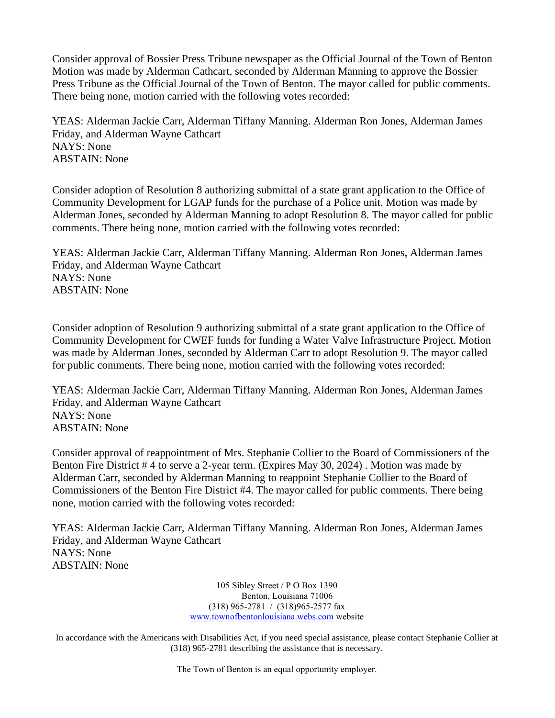Consider approval of Bossier Press Tribune newspaper as the Official Journal of the Town of Benton Motion was made by Alderman Cathcart, seconded by Alderman Manning to approve the Bossier Press Tribune as the Official Journal of the Town of Benton. The mayor called for public comments. There being none, motion carried with the following votes recorded:

YEAS: Alderman Jackie Carr, Alderman Tiffany Manning. Alderman Ron Jones, Alderman James Friday, and Alderman Wayne Cathcart NAYS: None ABSTAIN: None

Consider adoption of Resolution 8 authorizing submittal of a state grant application to the Office of Community Development for LGAP funds for the purchase of a Police unit. Motion was made by Alderman Jones, seconded by Alderman Manning to adopt Resolution 8. The mayor called for public comments. There being none, motion carried with the following votes recorded:

YEAS: Alderman Jackie Carr, Alderman Tiffany Manning. Alderman Ron Jones, Alderman James Friday, and Alderman Wayne Cathcart NAYS: None ABSTAIN: None

Consider adoption of Resolution 9 authorizing submittal of a state grant application to the Office of Community Development for CWEF funds for funding a Water Valve Infrastructure Project. Motion was made by Alderman Jones, seconded by Alderman Carr to adopt Resolution 9. The mayor called for public comments. There being none, motion carried with the following votes recorded:

YEAS: Alderman Jackie Carr, Alderman Tiffany Manning. Alderman Ron Jones, Alderman James Friday, and Alderman Wayne Cathcart NAYS: None ABSTAIN: None

Consider approval of reappointment of Mrs. Stephanie Collier to the Board of Commissioners of the Benton Fire District # 4 to serve a 2-year term. (Expires May 30, 2024) . Motion was made by Alderman Carr, seconded by Alderman Manning to reappoint Stephanie Collier to the Board of Commissioners of the Benton Fire District #4. The mayor called for public comments. There being none, motion carried with the following votes recorded:

YEAS: Alderman Jackie Carr, Alderman Tiffany Manning. Alderman Ron Jones, Alderman James Friday, and Alderman Wayne Cathcart NAYS: None ABSTAIN: None

> 105 Sibley Street / P O Box 1390 Benton, Louisiana 71006 (318) 965-2781 / (318)965-2577 fax [www.townofbentonlouisiana.webs.com](http://www.townofbentonlouisiana.webs.com/) website

In accordance with the Americans with Disabilities Act, if you need special assistance, please contact Stephanie Collier at (318) 965-2781 describing the assistance that is necessary.